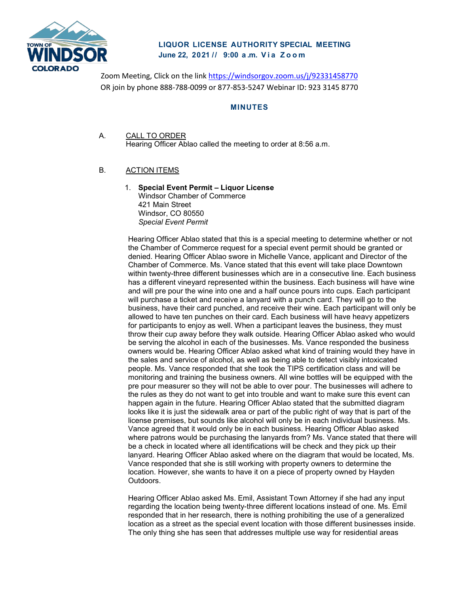

# **LIQUOR LICENSE AUTHORITY SPECIAL MEETING June 22, 2021 // 9:00 a . m. Via Zoom**

Zoom Meeting, Click on the link<https://windsorgov.zoom.us/j/92331458770> OR join by phone 888-788-0099 or 877-853-5247 Webinar ID: 923 3145 8770

### **MINUTES**

A. CALL TO ORDER Hearing Officer Ablao called the meeting to order at 8:56 a.m.

## B. ACTION ITEMS

1. **Special Event Permit – Liquor License** Windsor Chamber of Commerce 421 Main Street Windsor, CO 80550 *Special Event Permit*

Hearing Officer Ablao stated that this is a special meeting to determine whether or not the Chamber of Commerce request for a special event permit should be granted or denied. Hearing Officer Ablao swore in Michelle Vance, applicant and Director of the Chamber of Commerce. Ms. Vance stated that this event will take place Downtown within twenty-three different businesses which are in a consecutive line. Each business has a different vineyard represented within the business. Each business will have wine and will pre pour the wine into one and a half ounce pours into cups. Each participant will purchase a ticket and receive a lanyard with a punch card. They will go to the business, have their card punched, and receive their wine. Each participant will only be allowed to have ten punches on their card. Each business will have heavy appetizers for participants to enjoy as well. When a participant leaves the business, they must throw their cup away before they walk outside. Hearing Officer Ablao asked who would be serving the alcohol in each of the businesses. Ms. Vance responded the business owners would be. Hearing Officer Ablao asked what kind of training would they have in the sales and service of alcohol, as well as being able to detect visibly intoxicated people. Ms. Vance responded that she took the TIPS certification class and will be monitoring and training the business owners. All wine bottles will be equipped with the pre pour measurer so they will not be able to over pour. The businesses will adhere to the rules as they do not want to get into trouble and want to make sure this event can happen again in the future. Hearing Officer Ablao stated that the submitted diagram looks like it is just the sidewalk area or part of the public right of way that is part of the license premises, but sounds like alcohol will only be in each individual business. Ms. Vance agreed that it would only be in each business. Hearing Officer Ablao asked where patrons would be purchasing the lanyards from? Ms. Vance stated that there will be a check in located where all identifications will be check and they pick up their lanyard. Hearing Officer Ablao asked where on the diagram that would be located, Ms. Vance responded that she is still working with property owners to determine the location. However, she wants to have it on a piece of property owned by Hayden Outdoors.

Hearing Officer Ablao asked Ms. Emil, Assistant Town Attorney if she had any input regarding the location being twenty-three different locations instead of one. Ms. Emil responded that in her research, there is nothing prohibiting the use of a generalized location as a street as the special event location with those different businesses inside. The only thing she has seen that addresses multiple use way for residential areas